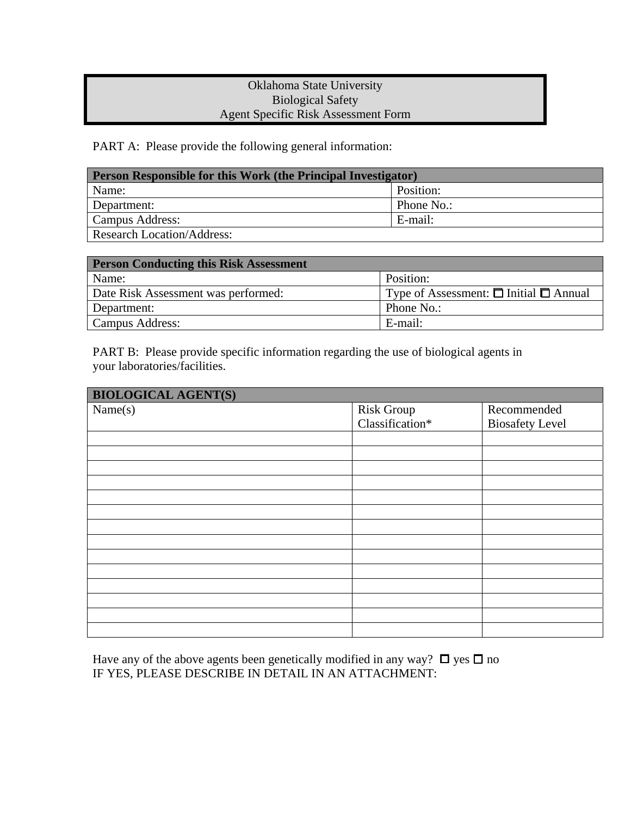## Oklahoma State University Biological Safety Agent Specific Risk Assessment Form

PART A: Please provide the following general information:

| <b>Person Responsible for this Work (the Principal Investigator)</b> |            |  |
|----------------------------------------------------------------------|------------|--|
| Name:                                                                | Position:  |  |
| Department:                                                          | Phone No.: |  |
| Campus Address:                                                      | E-mail:    |  |
| Research Location/Address:                                           |            |  |

| <b>Person Conducting this Risk Assessment</b> |                                                  |  |
|-----------------------------------------------|--------------------------------------------------|--|
| Name:                                         | Position:                                        |  |
| Date Risk Assessment was performed:           | Type of Assessment: $\Box$ Initial $\Box$ Annual |  |
| Department:                                   | Phone No.:                                       |  |
| Campus Address:                               | E-mail:                                          |  |

PART B: Please provide specific information regarding the use of biological agents in your laboratories/facilities.

| <b>BIOLOGICAL AGENT(S)</b> |                   |                        |
|----------------------------|-------------------|------------------------|
| Name(s)                    | <b>Risk Group</b> | Recommended            |
|                            | Classification*   | <b>Biosafety Level</b> |
|                            |                   |                        |
|                            |                   |                        |
|                            |                   |                        |
|                            |                   |                        |
|                            |                   |                        |
|                            |                   |                        |
|                            |                   |                        |
|                            |                   |                        |
|                            |                   |                        |
|                            |                   |                        |
|                            |                   |                        |
|                            |                   |                        |
|                            |                   |                        |
|                            |                   |                        |

Have any of the above agents been genetically modified in any way?  $\Box$  yes  $\Box$  no IF YES, PLEASE DESCRIBE IN DETAIL IN AN ATTACHMENT: